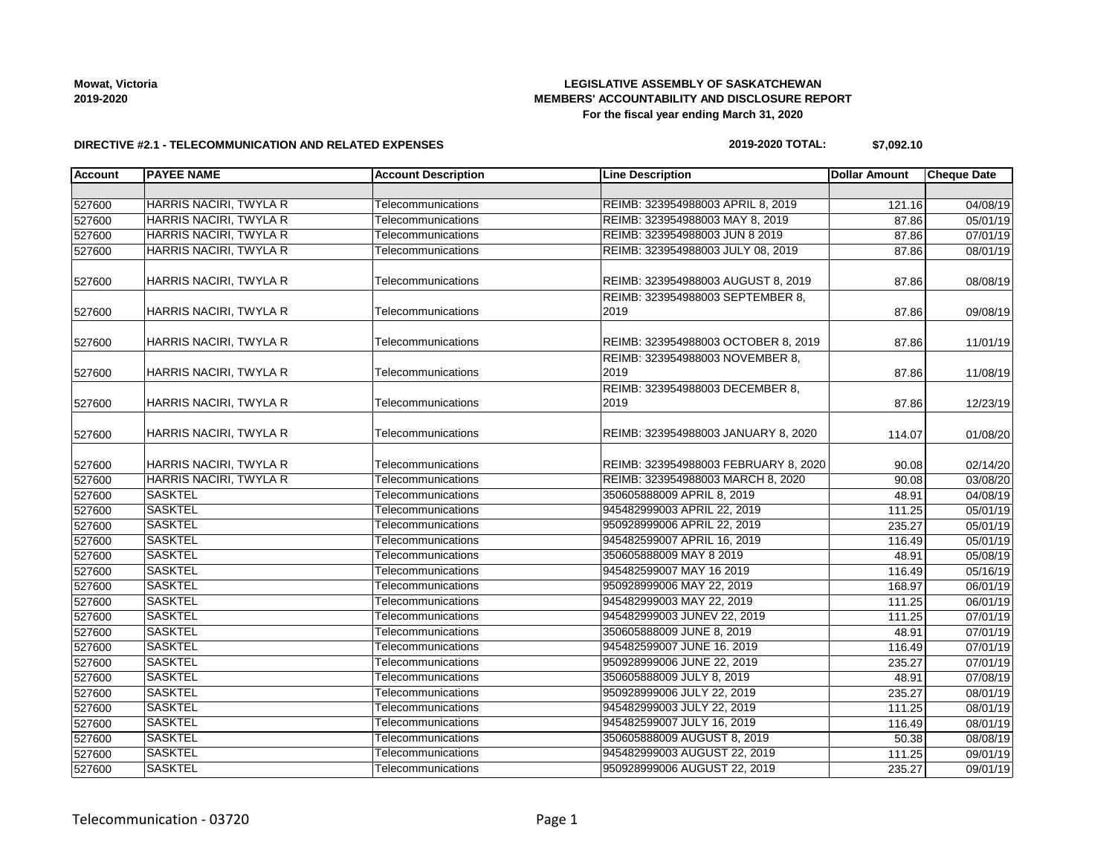## **LEGISLATIVE ASSEMBLY OF SASKATCHEWAN MEMBERS' ACCOUNTABILITY AND DISCLOSURE REPORT For the fiscal year ending March 31, 2020**

### **DIRECTIVE #2.1 - TELECOMMUNICATION AND RELATED EXPENSES**

### **2019-2020 TOTAL: \$7,092.10**

| <b>Account</b> | <b>PAYEE NAME</b>             | <b>Account Description</b> | <b>Line Description</b>                  | <b>Dollar Amount</b> | <b>Cheque Date</b>    |
|----------------|-------------------------------|----------------------------|------------------------------------------|----------------------|-----------------------|
|                |                               |                            |                                          |                      |                       |
| 527600         | HARRIS NACIRI, TWYLA R        | Telecommunications         | REIMB: 323954988003 APRIL 8, 2019        | 121.16               | 04/08/19              |
| 527600         | HARRIS NACIRI, TWYLA R        | Telecommunications         | REIMB: 323954988003 MAY 8, 2019          | 87.86                | 05/01/19              |
| 527600         | HARRIS NACIRI, TWYLA R        | Telecommunications         | REIMB: 323954988003 JUN 8 2019           | 87.86                | 07/01/19              |
| 527600         | HARRIS NACIRI, TWYLA R        | Telecommunications         | REIMB: 323954988003 JULY 08, 2019        |                      | 08/01/19<br>87.86     |
| 527600         | HARRIS NACIRI, TWYLA R        | Telecommunications         | REIMB: 323954988003 AUGUST 8, 2019       | 87.86                | 08/08/19              |
| 527600         | HARRIS NACIRI, TWYLA R        | Telecommunications         | REIMB: 323954988003 SEPTEMBER 8,<br>2019 | 87.86                | 09/08/19              |
| 527600         | HARRIS NACIRI, TWYLA R        | Telecommunications         | REIMB: 323954988003 OCTOBER 8, 2019      | 87.86                | 11/01/19              |
| 527600         | HARRIS NACIRI, TWYLA R        | Telecommunications         | REIMB: 323954988003 NOVEMBER 8,<br>2019  | 87.86                | 11/08/19              |
| 527600         | HARRIS NACIRI, TWYLA R        | Telecommunications         | REIMB: 323954988003 DECEMBER 8,<br>2019  | 87.86                | 12/23/19              |
| 527600         | HARRIS NACIRI, TWYLA R        | Telecommunications         | REIMB: 323954988003 JANUARY 8, 2020      | 114.07               | 01/08/20              |
| 527600         | HARRIS NACIRI, TWYLA R        | Telecommunications         | REIMB: 323954988003 FEBRUARY 8, 2020     | 90.08                | 02/14/20              |
| 527600         | <b>HARRIS NACIRI, TWYLA R</b> | Telecommunications         | REIMB: 323954988003 MARCH 8, 2020        | 90.08                | 03/08/20              |
| 527600         | <b>SASKTEL</b>                | Telecommunications         | 350605888009 APRIL 8, 2019               | 48.91                | 04/08/19              |
| 527600         | <b>SASKTEL</b>                | Telecommunications         | 945482999003 APRIL 22, 2019              | 111.25               | 05/01/19              |
| 527600         | <b>SASKTEL</b>                | Telecommunications         | 950928999006 APRIL 22, 2019              | 235.27               | 05/01/19              |
| 527600         | <b>SASKTEL</b>                | Telecommunications         | 945482599007 APRIL 16, 2019              | 116.49               | 05/01/19              |
| 527600         | <b>SASKTEL</b>                | Telecommunications         | 350605888009 MAY 8 2019                  | 48.91                | 05/08/19              |
| 527600         | <b>SASKTEL</b>                | Telecommunications         | 945482599007 MAY 16 2019                 | 116.49               | 05/16/19              |
| 527600         | <b>SASKTEL</b>                | Telecommunications         | 950928999006 MAY 22, 2019                | 168.97               | 06/01/19              |
| 527600         | <b>SASKTEL</b>                | Telecommunications         | 945482999003 MAY 22, 2019                | 111.25               | 06/01/19              |
| 527600         | <b>SASKTEL</b>                | Telecommunications         | 945482999003 JUNEV 22, 2019              | 111.25               | 07/01/19              |
| 527600         | <b>SASKTEL</b>                | Telecommunications         | 350605888009 JUNE 8, 2019                | 48.91                | 07/01/19              |
| 527600         | <b>SASKTEL</b>                | Telecommunications         | 945482599007 JUNE 16. 2019               | 116.49               | 07/01/19              |
| 527600         | <b>SASKTEL</b>                | Telecommunications         | 950928999006 JUNE 22, 2019               | 235.27               | 07/01/19              |
| 527600         | <b>SASKTEL</b>                | Telecommunications         | 350605888009 JULY 8, 2019                | 48.91                | 07/08/19              |
| 527600         | <b>SASKTEL</b>                | Telecommunications         | 950928999006 JULY 22, 2019               | 235.27               | 08/01/19              |
| 527600         | <b>SASKTEL</b>                | Telecommunications         | 945482999003 JULY 22, 2019               | 111.25               | 08/01/19              |
| 527600         | <b>SASKTEL</b>                | Telecommunications         | 945482599007 JULY 16, 2019               | 116.49               | 08/01/19              |
| 527600         | <b>SASKTEL</b>                | Telecommunications         | 350605888009 AUGUST 8, 2019              | 50.38                | 08/08/19              |
| 527600         | <b>SASKTEL</b>                | Telecommunications         | 945482999003 AUGUST 22, 2019             | 111.25               | $\overline{09/0}1/19$ |
| 527600         | <b>SASKTEL</b>                | Telecommunications         | 950928999006 AUGUST 22, 2019             | 235.27               | 09/01/19              |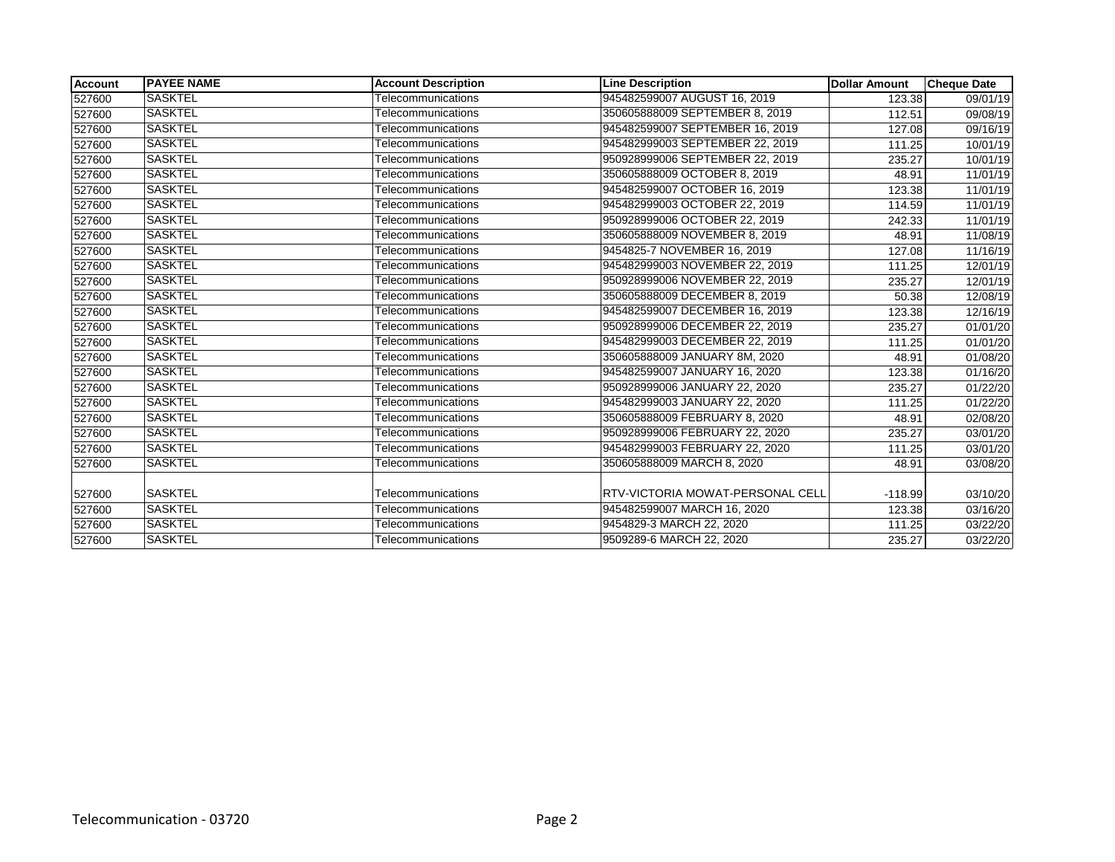| <b>Account</b> | <b>PAYEE NAME</b> | <b>Account Description</b> | <b>Line Description</b>                 | <b>Dollar Amount</b> | <b>Cheque Date</b>    |
|----------------|-------------------|----------------------------|-----------------------------------------|----------------------|-----------------------|
| 527600         | <b>SASKTEL</b>    | Telecommunications         | 945482599007 AUGUST 16, 2019            | 123.38               | 09/01/19              |
| 527600         | SASKTEL           | Telecommunications         | 350605888009 SEPTEMBER 8, 2019          | 112.51               | 09/08/19              |
| 527600         | <b>SASKTEL</b>    | Telecommunications         | 945482599007 SEPTEMBER 16, 2019         | 127.08               | 09/16/19              |
| 527600         | SASKTEL           | Telecommunications         | 945482999003 SEPTEMBER 22, 2019         | 111.25               | 10/01/19              |
| 527600         | <b>SASKTEL</b>    | Telecommunications         | 950928999006 SEPTEMBER 22, 2019         | 235.27               | 10/01/19              |
| 527600         | <b>SASKTEL</b>    | Telecommunications         | 350605888009 OCTOBER 8, 2019            | 48.91                | $\overline{11}/01/19$ |
| 527600         | SASKTEL           | Telecommunications         | 945482599007 OCTOBER 16, 2019           | 123.38               | 11/01/19              |
| 527600         | <b>SASKTEL</b>    | Telecommunications         | 945482999003 OCTOBER 22, 2019           | 114.59               | 11/01/19              |
| 527600         | <b>SASKTEL</b>    | Telecommunications         | 950928999006 OCTOBER 22, 2019           | 242.33               | 11/01/19              |
| 527600         | <b>SASKTEL</b>    | Telecommunications         | 350605888009 NOVEMBER 8, 2019           | 48.91                | 11/08/19              |
| 527600         | <b>SASKTEL</b>    | Telecommunications         | 9454825-7 NOVEMBER 16, 2019             | 127.08               | 11/16/19              |
| 527600         | SASKTEL           | Telecommunications         | 945482999003 NOVEMBER 22, 2019          | 111.25               | 12/01/19              |
| 527600         | <b>SASKTEL</b>    | Telecommunications         | 950928999006 NOVEMBER 22, 2019          | 235.27               | 12/01/19              |
| 527600         | <b>SASKTEL</b>    | Telecommunications         | 350605888009 DECEMBER 8, 2019           | 50.38                | 12/08/19              |
| 527600         | <b>SASKTEL</b>    | Telecommunications         | 945482599007 DECEMBER 16, 2019          | 123.38               | 12/16/19              |
| 527600         | <b>SASKTEL</b>    | Telecommunications         | 950928999006 DECEMBER 22, 2019          | 235.27               | 01/01/20              |
| 527600         | <b>SASKTEL</b>    | Telecommunications         | 945482999003 DECEMBER 22, 2019          | 111.25               | 01/01/20              |
| 527600         | <b>SASKTEL</b>    | Telecommunications         | 350605888009 JANUARY 8M, 2020           | 48.91                | 01/08/20              |
| 527600         | <b>SASKTEL</b>    | Telecommunications         | 945482599007 JANUARY 16, 2020           | 123.38               | 01/16/20              |
| 527600         | <b>SASKTEL</b>    | Telecommunications         | 950928999006 JANUARY 22, 2020           | 235.27               | 01/22/20              |
| 527600         | <b>SASKTEL</b>    | Telecommunications         | 945482999003 JANUARY 22, 2020           | 111.25               | 01/22/20              |
| 527600         | <b>SASKTEL</b>    | Telecommunications         | 350605888009 FEBRUARY 8, 2020           | 48.91                | 02/08/20              |
| 527600         | <b>SASKTEL</b>    | Telecommunications         | 950928999006 FEBRUARY 22, 2020          | 235.27               | 03/01/20              |
| 527600         | <b>SASKTEL</b>    | Telecommunications         | 945482999003 FEBRUARY 22, 2020          | 111.25               | 03/01/20              |
| 527600         | <b>SASKTEL</b>    | Telecommunications         | 350605888009 MARCH 8, 2020              | 48.91                | 03/08/20              |
|                |                   |                            |                                         |                      |                       |
| 527600         | <b>SASKTEL</b>    | Telecommunications         | <b>RTV-VICTORIA MOWAT-PERSONAL CELL</b> | $-118.99$            | 03/10/20              |
| 527600         | <b>SASKTEL</b>    | Telecommunications         | 945482599007 MARCH 16, 2020             | 123.38               | 03/16/20              |
| 527600         | <b>SASKTEL</b>    | Telecommunications         | 9454829-3 MARCH 22, 2020                | 111.25               | 03/22/20              |
| 527600         | <b>SASKTEL</b>    | Telecommunications         | 9509289-6 MARCH 22, 2020                | 235.27               | 03/22/20              |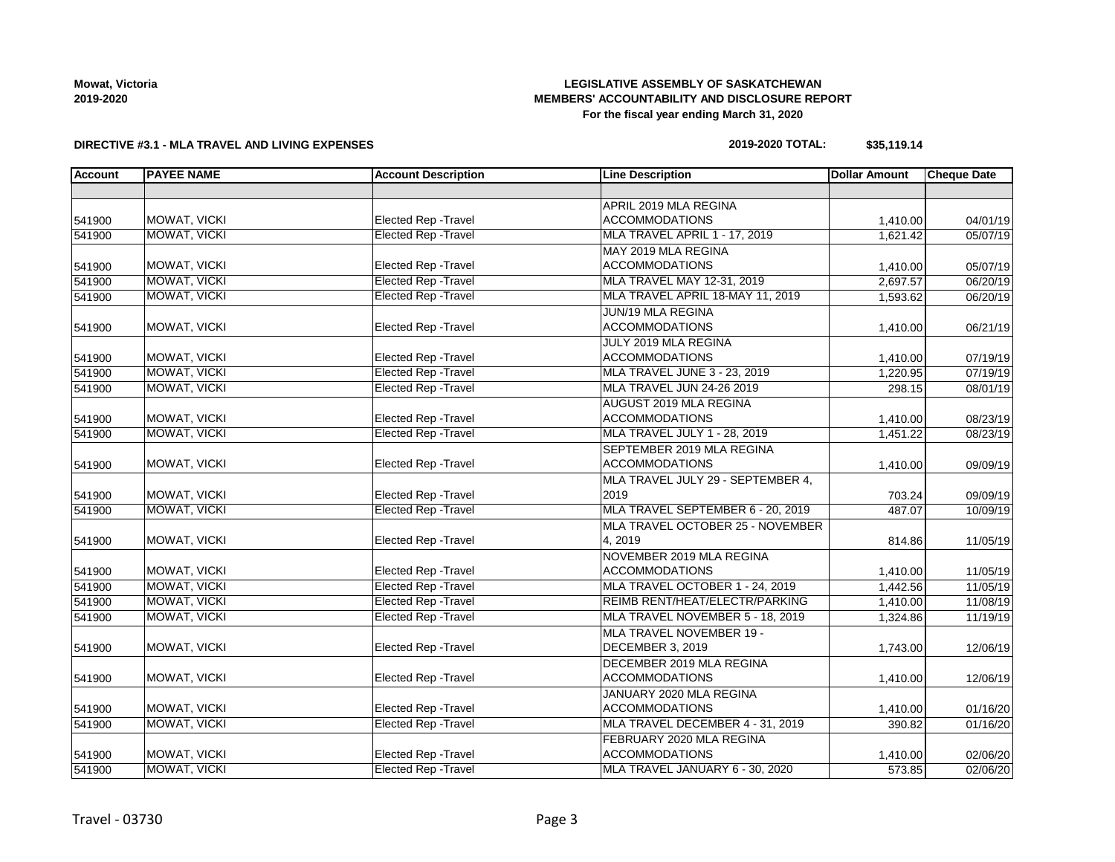## **LEGISLATIVE ASSEMBLY OF SASKATCHEWAN MEMBERS' ACCOUNTABILITY AND DISCLOSURE REPORT For the fiscal year ending March 31, 2020**

### **DIRECTIVE #3.1 - MLA TRAVEL AND LIVING EXPENSES**

## **2019-2020 TOTAL: \$35,119.14**

| <b>Account</b> | <b>PAYEE NAME</b>   | <b>Account Description</b>  | <b>Line Description</b>             | <b>Dollar Amount</b> | <b>Cheque Date</b>   |
|----------------|---------------------|-----------------------------|-------------------------------------|----------------------|----------------------|
|                |                     |                             |                                     |                      |                      |
|                |                     |                             | APRIL 2019 MLA REGINA               |                      |                      |
| 541900         | MOWAT, VICKI        | <b>Elected Rep - Travel</b> | <b>ACCOMMODATIONS</b>               | 1,410.00             | 04/01/19             |
| 541900         | <b>MOWAT, VICKI</b> | <b>Elected Rep - Travel</b> | MLA TRAVEL APRIL 1 - 17, 2019       | 1,621.42             | 05/07/19             |
|                |                     |                             | MAY 2019 MLA REGINA                 |                      |                      |
| 541900         | MOWAT, VICKI        | Elected Rep - Travel        | <b>ACCOMMODATIONS</b>               | 1,410.00             | 05/07/19             |
| 541900         | <b>MOWAT, VICKI</b> | <b>Elected Rep - Travel</b> | MLA TRAVEL MAY 12-31, 2019          | 2,697.57             | 06/20/19             |
| 541900         | MOWAT, VICKI        | <b>Elected Rep - Travel</b> | MLA TRAVEL APRIL 18-MAY 11, 2019    |                      | 1,593.62<br>06/20/19 |
|                |                     |                             | JUN/19 MLA REGINA                   |                      |                      |
| 541900         | MOWAT, VICKI        | Elected Rep - Travel        | <b>ACCOMMODATIONS</b>               | 1,410.00             | 06/21/19             |
|                |                     |                             | JULY 2019 MLA REGINA                |                      |                      |
| 541900         | MOWAT, VICKI        | Elected Rep - Travel        | <b>ACCOMMODATIONS</b>               | 1,410.00             | 07/19/19             |
| 541900         | <b>MOWAT, VICKI</b> | <b>Elected Rep - Travel</b> | <b>MLA TRAVEL JUNE 3 - 23, 2019</b> | 1,220.95             | 07/19/19             |
| 541900         | MOWAT, VICKI        | <b>Elected Rep - Travel</b> | MLA TRAVEL JUN 24-26 2019           | 298.15               | 08/01/19             |
|                |                     |                             | AUGUST 2019 MLA REGINA              |                      |                      |
| 541900         | MOWAT, VICKI        | <b>Elected Rep - Travel</b> | <b>ACCOMMODATIONS</b>               | 1,410.00             | 08/23/19             |
| 541900         | MOWAT, VICKI        | <b>Elected Rep - Travel</b> | <b>MLA TRAVEL JULY 1 - 28, 2019</b> | 1,451.22             | 08/23/19             |
|                |                     |                             | SEPTEMBER 2019 MLA REGINA           |                      |                      |
| 541900         | MOWAT, VICKI        | Elected Rep - Travel        | <b>ACCOMMODATIONS</b>               | 1,410.00             | 09/09/19             |
|                |                     |                             | MLA TRAVEL JULY 29 - SEPTEMBER 4,   |                      |                      |
| 541900         | MOWAT, VICKI        | Elected Rep - Travel        | 2019                                | 703.24               | 09/09/19             |
| 541900         | MOWAT, VICKI        | <b>Elected Rep - Travel</b> | MLA TRAVEL SEPTEMBER 6 - 20, 2019   | 487.07               | 10/09/19             |
|                |                     |                             | MLA TRAVEL OCTOBER 25 - NOVEMBER    |                      |                      |
| 541900         | MOWAT, VICKI        | Elected Rep - Travel        | 4, 2019                             | 814.86               | 11/05/19             |
|                |                     |                             | NOVEMBER 2019 MLA REGINA            |                      |                      |
| 541900         | MOWAT, VICKI        | Elected Rep - Travel        | <b>ACCOMMODATIONS</b>               | 1,410.00             | 11/05/19             |
| 541900         | MOWAT, VICKI        | <b>Elected Rep - Travel</b> | MLA TRAVEL OCTOBER 1 - 24, 2019     | 1,442.56             | 11/05/19             |
| 541900         | MOWAT, VICKI        | <b>Elected Rep - Travel</b> | REIMB RENT/HEAT/ELECTR/PARKING      | 1,410.00             | 11/08/19             |
| 541900         | MOWAT, VICKI        | <b>Elected Rep - Travel</b> | MLA TRAVEL NOVEMBER 5 - 18, 2019    | 1,324.86             | 11/19/19             |
|                |                     |                             | MLA TRAVEL NOVEMBER 19 -            |                      |                      |
| 541900         | MOWAT, VICKI        | <b>Elected Rep - Travel</b> | DECEMBER 3, 2019                    | 1,743.00             | 12/06/19             |
|                |                     |                             | DECEMBER 2019 MLA REGINA            |                      |                      |
| 541900         | MOWAT, VICKI        | <b>Elected Rep - Travel</b> | <b>ACCOMMODATIONS</b>               | 1,410.00             | 12/06/19             |
|                |                     |                             | JANUARY 2020 MLA REGINA             |                      |                      |
| 541900         | MOWAT, VICKI        | Elected Rep - Travel        | <b>ACCOMMODATIONS</b>               | 1,410.00             | 01/16/20             |
| 541900         | <b>MOWAT, VICKI</b> | <b>Elected Rep - Travel</b> | MLA TRAVEL DECEMBER 4 - 31, 2019    | 390.82               | 01/16/20             |
|                |                     |                             | FEBRUARY 2020 MLA REGINA            |                      |                      |
| 541900         | MOWAT, VICKI        | Elected Rep - Travel        | <b>ACCOMMODATIONS</b>               | 1,410.00             | 02/06/20             |
| 541900         | MOWAT, VICKI        | <b>Elected Rep - Travel</b> | MLA TRAVEL JANUARY 6 - 30, 2020     | 573.85               | 02/06/20             |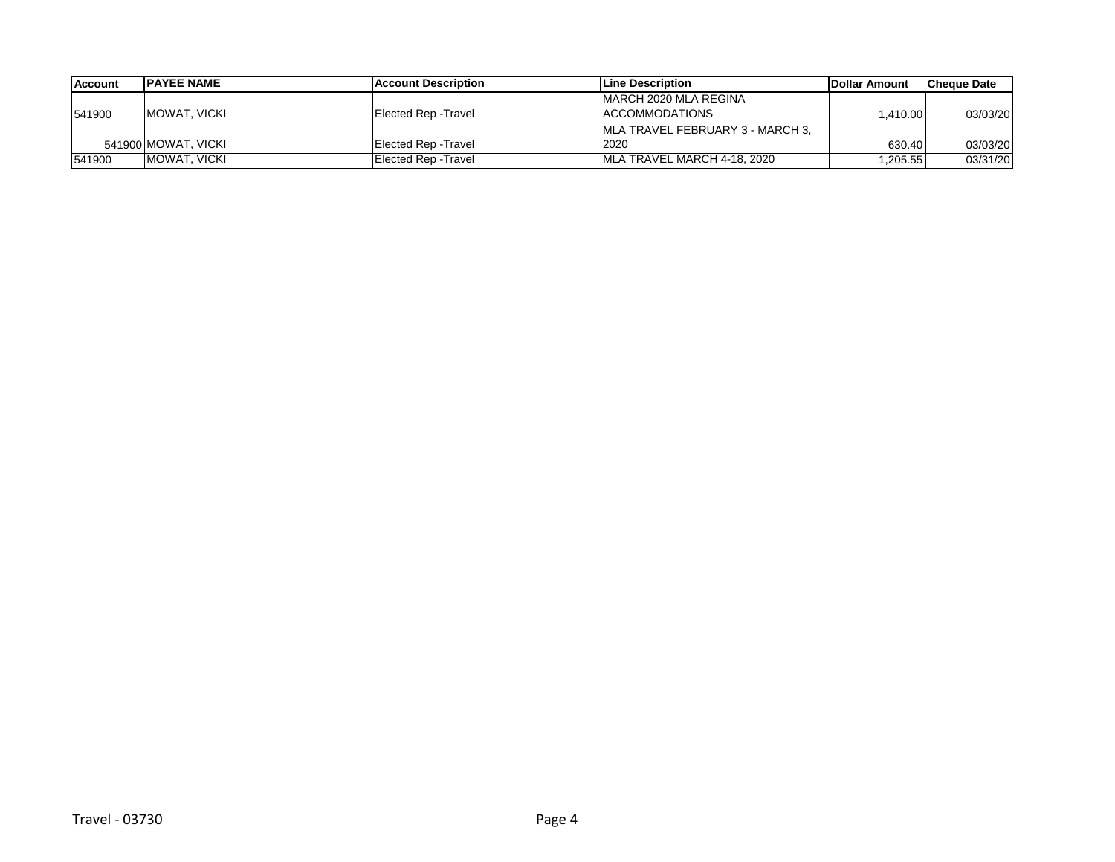| <b>Account</b> | <b>IPAYEE NAME</b>  | <b>IAccount Description</b> | <b>ILine Description</b>         | <b>IDollar Amount</b> | <b>Cheque Date</b> |
|----------------|---------------------|-----------------------------|----------------------------------|-----------------------|--------------------|
|                |                     |                             | IMARCH 2020 MLA REGINA           |                       |                    |
| 541900         | IMOWAT. VICKI       | Elected Rep -Travel         | <b>ACCOMMODATIONS</b>            | 1.410.00              | 03/03/20           |
|                |                     |                             | MLA TRAVEL FEBRUARY 3 - MARCH 3. |                       |                    |
|                | 541900 MOWAT, VICKI | <b>Elected Rep - Travel</b> | 2020                             | 630.40                | 03/03/20           |
| 541900         | IMOWAT. VICKI       | Elected Rep - Travel        | MLA TRAVEL MARCH 4-18, 2020      | 1,205.55              | 03/31/20           |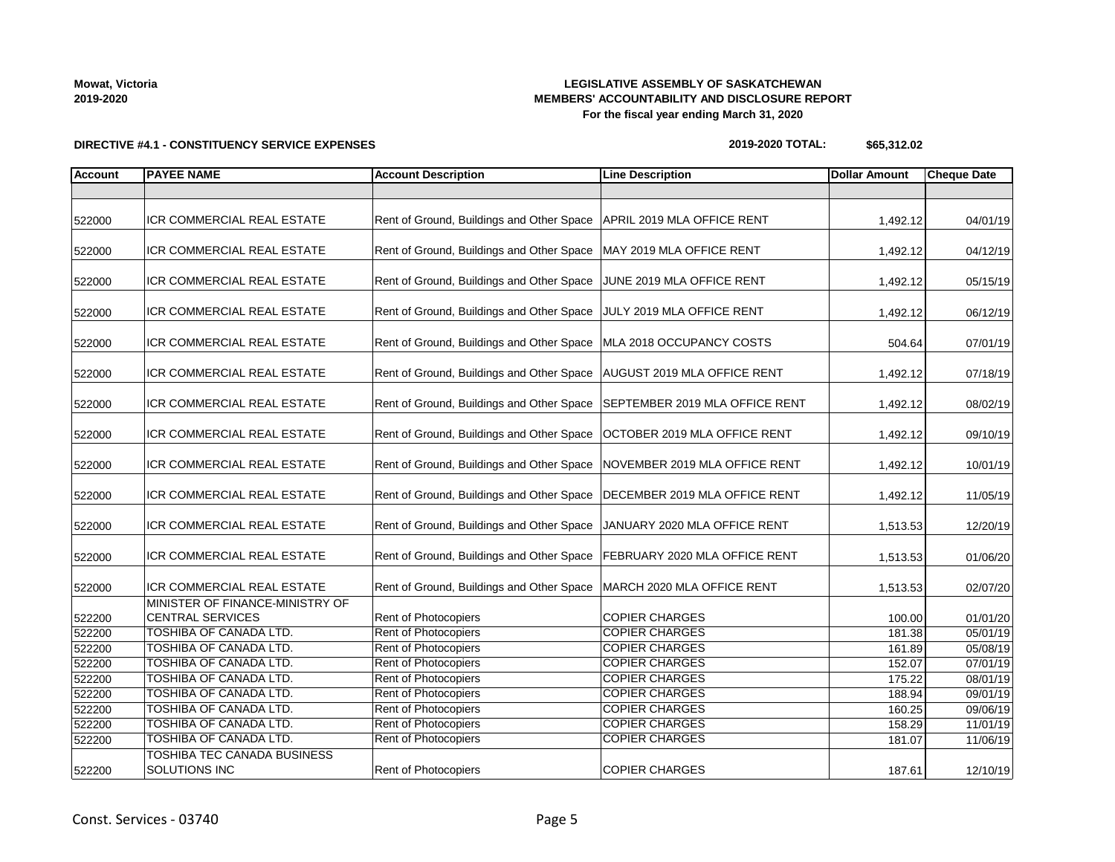## **LEGISLATIVE ASSEMBLY OF SASKATCHEWAN MEMBERS' ACCOUNTABILITY AND DISCLOSURE REPORT For the fiscal year ending March 31, 2020**

**DIRECTIVE #4.1 - CONSTITUENCY SERVICE EXPENSES**

### **2019-2020 TOTAL: \$65,312.02**

| <b>Account</b> | <b>PAYEE NAME</b>                                          | <b>Account Description</b>                                                | <b>Line Description</b>        | <b>Dollar Amount</b> | <b>Cheque Date</b> |
|----------------|------------------------------------------------------------|---------------------------------------------------------------------------|--------------------------------|----------------------|--------------------|
|                |                                                            |                                                                           |                                |                      |                    |
| 522000         | ICR COMMERCIAL REAL ESTATE                                 | Rent of Ground, Buildings and Other Space                                 | APRIL 2019 MLA OFFICE RENT     | 1,492.12             | 04/01/19           |
| 522000         | ICR COMMERCIAL REAL ESTATE                                 | Rent of Ground, Buildings and Other Space   MAY 2019 MLA OFFICE RENT      |                                | 1,492.12             | 04/12/19           |
| 522000         | ICR COMMERCIAL REAL ESTATE                                 | Rent of Ground, Buildings and Other Space                                 | JUNE 2019 MLA OFFICE RENT      | 1,492.12             | 05/15/19           |
| 522000         | ICR COMMERCIAL REAL ESTATE                                 | Rent of Ground, Buildings and Other Space JULY 2019 MLA OFFICE RENT       |                                | 1,492.12             | 06/12/19           |
| 522000         | <b>ICR COMMERCIAL REAL ESTATE</b>                          | Rent of Ground, Buildings and Other Space   MLA 2018 OCCUPANCY COSTS      |                                | 504.64               | 07/01/19           |
| 522000         | ICR COMMERCIAL REAL ESTATE                                 | Rent of Ground, Buildings and Other Space   AUGUST 2019 MLA OFFICE RENT   |                                | 1,492.12             | 07/18/19           |
| 522000         | <b>ICR COMMERCIAL REAL ESTATE</b>                          | Rent of Ground, Buildings and Other Space                                 | SEPTEMBER 2019 MLA OFFICE RENT | 1,492.12             | 08/02/19           |
| 522000         | ICR COMMERCIAL REAL ESTATE                                 | Rent of Ground, Buildings and Other Space                                 | OCTOBER 2019 MLA OFFICE RENT   | 1,492.12             | 09/10/19           |
| 522000         | ICR COMMERCIAL REAL ESTATE                                 | Rent of Ground, Buildings and Other Space                                 | NOVEMBER 2019 MLA OFFICE RENT  | 1,492.12             | 10/01/19           |
| 522000         | ICR COMMERCIAL REAL ESTATE                                 | Rent of Ground, Buildings and Other Space                                 | DECEMBER 2019 MLA OFFICE RENT  | 1,492.12             | 11/05/19           |
| 522000         | ICR COMMERCIAL REAL ESTATE                                 | Rent of Ground, Buildings and Other Space                                 | JANUARY 2020 MLA OFFICE RENT   | 1,513.53             | 12/20/19           |
| 522000         | ICR COMMERCIAL REAL ESTATE                                 | Rent of Ground, Buildings and Other Space   FEBRUARY 2020 MLA OFFICE RENT |                                | 1,513.53             | 01/06/20           |
| 522000         | <b>ICR COMMERCIAL REAL ESTATE</b>                          | Rent of Ground, Buildings and Other Space   MARCH 2020 MLA OFFICE RENT    |                                | 1,513.53             | 02/07/20           |
| 522200         | MINISTER OF FINANCE-MINISTRY OF<br><b>CENTRAL SERVICES</b> | Rent of Photocopiers                                                      | <b>COPIER CHARGES</b>          | 100.00               | 01/01/20           |
| 522200         | TOSHIBA OF CANADA LTD.                                     | <b>Rent of Photocopiers</b>                                               | <b>COPIER CHARGES</b>          | 181.38               | 05/01/19           |
| 522200         | TOSHIBA OF CANADA LTD.                                     | Rent of Photocopiers                                                      | <b>COPIER CHARGES</b>          | 161.89               | 05/08/19           |
| 522200         | <b>TOSHIBA OF CANADA LTD.</b>                              | Rent of Photocopiers                                                      | <b>COPIER CHARGES</b>          | 152.07               | 07/01/19           |
| 522200         | TOSHIBA OF CANADA LTD.                                     | Rent of Photocopiers                                                      | <b>COPIER CHARGES</b>          | 175.22               | 08/01/19           |
| 522200         | TOSHIBA OF CANADA LTD.                                     | Rent of Photocopiers                                                      | <b>COPIER CHARGES</b>          | 188.94               | 09/01/19           |
| 522200         | TOSHIBA OF CANADA LTD.                                     | Rent of Photocopiers                                                      | <b>COPIER CHARGES</b>          | 160.25               | 09/06/19           |
| 522200         | <b>TOSHIBA OF CANADA LTD.</b>                              | Rent of Photocopiers                                                      | <b>COPIER CHARGES</b>          | 158.29               | 11/01/19           |
| 522200         | TOSHIBA OF CANADA LTD.                                     | Rent of Photocopiers                                                      | <b>COPIER CHARGES</b>          | 181.07               | 11/06/19           |
| 522200         | TOSHIBA TEC CANADA BUSINESS<br>SOLUTIONS INC               | Rent of Photocopiers                                                      | <b>COPIER CHARGES</b>          | 187.61               | 12/10/19           |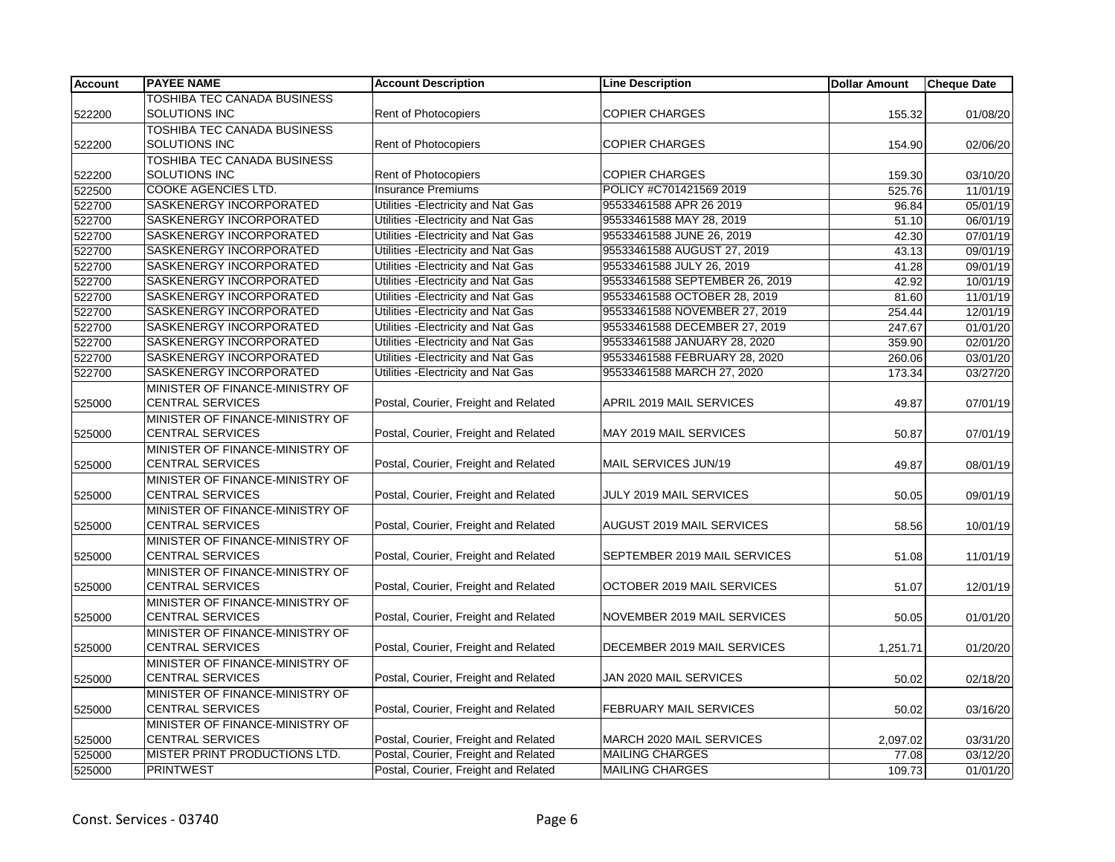| Account | <b>PAYEE NAME</b>               | <b>Account Description</b>           | <b>Line Description</b>        | <b>Dollar Amount</b> | <b>Cheque Date</b> |
|---------|---------------------------------|--------------------------------------|--------------------------------|----------------------|--------------------|
|         | TOSHIBA TEC CANADA BUSINESS     |                                      |                                |                      |                    |
| 522200  | SOLUTIONS INC                   | Rent of Photocopiers                 | <b>COPIER CHARGES</b>          | 155.32               | 01/08/20           |
|         | TOSHIBA TEC CANADA BUSINESS     |                                      |                                |                      |                    |
| 522200  | SOLUTIONS INC                   | Rent of Photocopiers                 | <b>COPIER CHARGES</b>          | 154.90               | 02/06/20           |
|         | TOSHIBA TEC CANADA BUSINESS     |                                      |                                |                      |                    |
| 522200  | <b>SOLUTIONS INC</b>            | Rent of Photocopiers                 | <b>COPIER CHARGES</b>          | 159.30               | 03/10/20           |
| 522500  | <b>COOKE AGENCIES LTD.</b>      | <b>Insurance Premiums</b>            | POLICY #C701421569 2019        | 525.76               | 11/01/19           |
| 522700  | SASKENERGY INCORPORATED         | Utilities - Electricity and Nat Gas  | 95533461588 APR 26 2019        | 96.84                | 05/01/19           |
| 522700  | SASKENERGY INCORPORATED         | Utilities - Electricity and Nat Gas  | 95533461588 MAY 28, 2019       | 51.10                | 06/01/19           |
| 522700  | SASKENERGY INCORPORATED         | Utilities - Electricity and Nat Gas  | 95533461588 JUNE 26, 2019      | 42.30                | 07/01/19           |
| 522700  | SASKENERGY INCORPORATED         | Utilities - Electricity and Nat Gas  | 95533461588 AUGUST 27, 2019    | 43.13                | 09/01/19           |
| 522700  | SASKENERGY INCORPORATED         | Utilities - Electricity and Nat Gas  | 95533461588 JULY 26, 2019      | 41.28                | 09/01/19           |
| 522700  | SASKENERGY INCORPORATED         | Utilities - Electricity and Nat Gas  | 95533461588 SEPTEMBER 26, 2019 | 42.92                | 10/01/19           |
| 522700  | SASKENERGY INCORPORATED         | Utilities - Electricity and Nat Gas  | 95533461588 OCTOBER 28, 2019   | 81.60                | 11/01/19           |
| 522700  | SASKENERGY INCORPORATED         | Utilities - Electricity and Nat Gas  | 95533461588 NOVEMBER 27, 2019  | 254.44               | 12/01/19           |
| 522700  | SASKENERGY INCORPORATED         | Utilities - Electricity and Nat Gas  | 95533461588 DECEMBER 27, 2019  | 247.67               | 01/01/20           |
| 522700  | SASKENERGY INCORPORATED         | Utilities - Electricity and Nat Gas  | 95533461588 JANUARY 28, 2020   | 359.90               | 02/01/20           |
| 522700  | SASKENERGY INCORPORATED         | Utilities - Electricity and Nat Gas  | 95533461588 FEBRUARY 28, 2020  | 260.06               | 03/01/20           |
| 522700  | <b>SASKENERGY INCORPORATED</b>  | Utilities - Electricity and Nat Gas  | 95533461588 MARCH 27, 2020     | 173.34               | 03/27/20           |
|         | MINISTER OF FINANCE-MINISTRY OF |                                      |                                |                      |                    |
| 525000  | <b>CENTRAL SERVICES</b>         | Postal, Courier, Freight and Related | APRIL 2019 MAIL SERVICES       | 49.87                | 07/01/19           |
|         | MINISTER OF FINANCE-MINISTRY OF |                                      |                                |                      |                    |
| 525000  | <b>CENTRAL SERVICES</b>         | Postal, Courier, Freight and Related | MAY 2019 MAIL SERVICES         | 50.87                | 07/01/19           |
|         | MINISTER OF FINANCE-MINISTRY OF |                                      |                                |                      |                    |
| 525000  | <b>CENTRAL SERVICES</b>         | Postal, Courier, Freight and Related | MAIL SERVICES JUN/19           | 49.87                | 08/01/19           |
|         | MINISTER OF FINANCE-MINISTRY OF |                                      |                                |                      |                    |
| 525000  | <b>CENTRAL SERVICES</b>         | Postal, Courier, Freight and Related | JULY 2019 MAIL SERVICES        | 50.05                | 09/01/19           |
|         | MINISTER OF FINANCE-MINISTRY OF |                                      |                                |                      |                    |
| 525000  | <b>CENTRAL SERVICES</b>         | Postal, Courier, Freight and Related | AUGUST 2019 MAIL SERVICES      | 58.56                | 10/01/19           |
|         | MINISTER OF FINANCE-MINISTRY OF |                                      |                                |                      |                    |
| 525000  | <b>CENTRAL SERVICES</b>         | Postal, Courier, Freight and Related | SEPTEMBER 2019 MAIL SERVICES   | 51.08                | 11/01/19           |
|         | MINISTER OF FINANCE-MINISTRY OF |                                      |                                |                      |                    |
| 525000  | <b>CENTRAL SERVICES</b>         | Postal, Courier, Freight and Related | OCTOBER 2019 MAIL SERVICES     | 51.07                | 12/01/19           |
|         | MINISTER OF FINANCE-MINISTRY OF |                                      |                                |                      |                    |
| 525000  | <b>CENTRAL SERVICES</b>         | Postal, Courier, Freight and Related | NOVEMBER 2019 MAIL SERVICES    | 50.05                | 01/01/20           |
|         | MINISTER OF FINANCE-MINISTRY OF |                                      |                                |                      |                    |
| 525000  | <b>CENTRAL SERVICES</b>         | Postal, Courier, Freight and Related | DECEMBER 2019 MAIL SERVICES    | 1,251.71             | 01/20/20           |
|         | MINISTER OF FINANCE-MINISTRY OF |                                      |                                |                      |                    |
| 525000  | <b>CENTRAL SERVICES</b>         | Postal, Courier, Freight and Related | JAN 2020 MAIL SERVICES         | 50.02                | 02/18/20           |
|         | MINISTER OF FINANCE-MINISTRY OF |                                      |                                |                      |                    |
| 525000  | <b>CENTRAL SERVICES</b>         | Postal, Courier, Freight and Related | FEBRUARY MAIL SERVICES         | 50.02                | 03/16/20           |
|         | MINISTER OF FINANCE-MINISTRY OF |                                      |                                |                      |                    |
| 525000  | <b>CENTRAL SERVICES</b>         | Postal, Courier, Freight and Related | MARCH 2020 MAIL SERVICES       | 2,097.02             | 03/31/20           |
| 525000  | MISTER PRINT PRODUCTIONS LTD.   | Postal, Courier, Freight and Related | <b>MAILING CHARGES</b>         | 77.08                | 03/12/20           |
| 525000  | <b>PRINTWEST</b>                | Postal, Courier, Freight and Related | <b>MAILING CHARGES</b>         | 109.73               | 01/01/20           |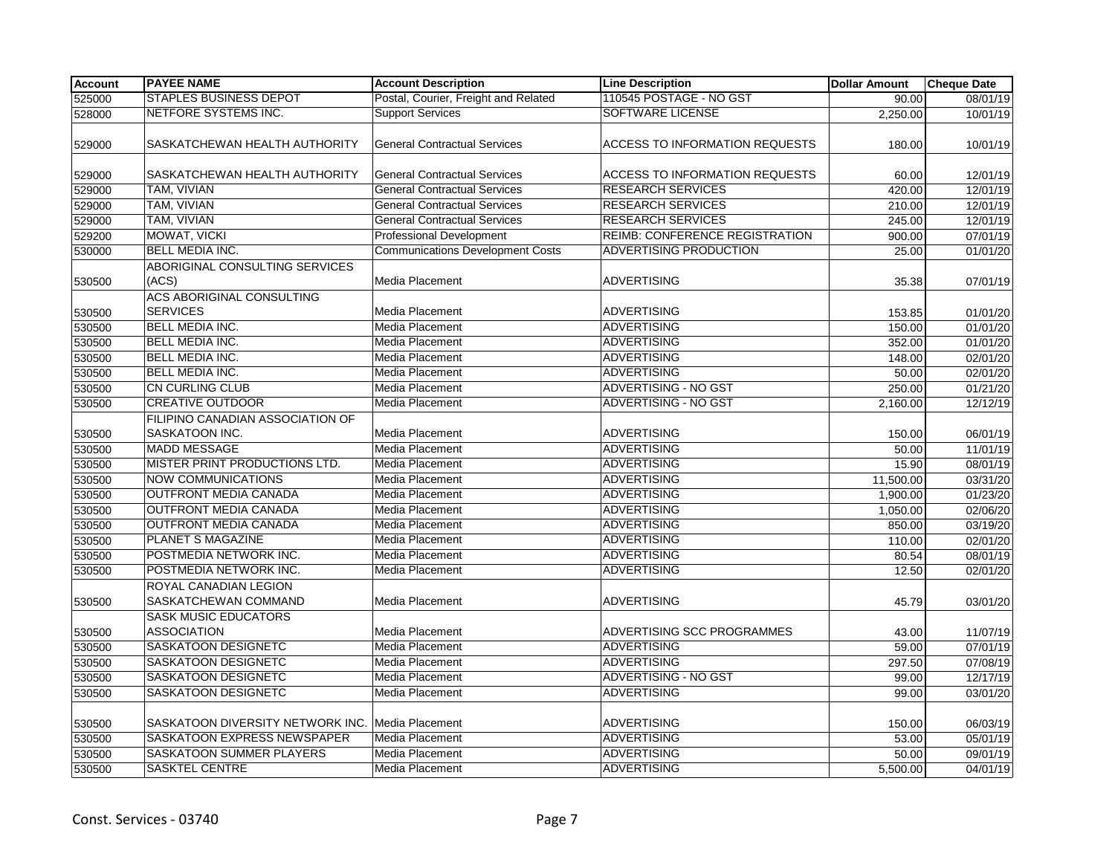| Account | <b>PAYEE NAME</b>                                 | <b>Account Description</b>              | <b>Line Description</b>               | <b>Dollar Amount</b> | <b>Cheque Date</b> |
|---------|---------------------------------------------------|-----------------------------------------|---------------------------------------|----------------------|--------------------|
| 525000  | <b>STAPLES BUSINESS DEPOT</b>                     | Postal, Courier, Freight and Related    | 110545 POSTAGE - NO GST               | 90.00                | 08/01/19           |
| 528000  | <b>NETFORE SYSTEMS INC.</b>                       | <b>Support Services</b>                 | <b>SOFTWARE LICENSE</b>               | 2,250.00             | 10/01/19           |
| 529000  | SASKATCHEWAN HEALTH AUTHORITY                     | <b>General Contractual Services</b>     | <b>ACCESS TO INFORMATION REQUESTS</b> | 180.00               | 10/01/19           |
| 529000  | SASKATCHEWAN HEALTH AUTHORITY                     | <b>General Contractual Services</b>     | <b>ACCESS TO INFORMATION REQUESTS</b> | 60.00                | 12/01/19           |
| 529000  | TAM, VIVIAN                                       | <b>General Contractual Services</b>     | <b>RESEARCH SERVICES</b>              | 420.00               | 12/01/19           |
| 529000  | TAM, VIVIAN                                       | <b>General Contractual Services</b>     | <b>RESEARCH SERVICES</b>              | 210.00               | 12/01/19           |
| 529000  | TAM, VIVIAN                                       | <b>General Contractual Services</b>     | <b>RESEARCH SERVICES</b>              | 245.00               | 12/01/19           |
| 529200  | MOWAT, VICKI                                      | <b>Professional Development</b>         | <b>REIMB: CONFERENCE REGISTRATION</b> | 900.00               | 07/01/19           |
| 530000  | <b>BELL MEDIA INC.</b>                            | <b>Communications Development Costs</b> | <b>ADVERTISING PRODUCTION</b>         | 25.00                | 01/01/20           |
| 530500  | ABORIGINAL CONSULTING SERVICES<br>(ACS)           | Media Placement                         | <b>ADVERTISING</b>                    | 35.38                | 07/01/19           |
| 530500  | ACS ABORIGINAL CONSULTING<br><b>SERVICES</b>      | Media Placement                         | <b>ADVERTISING</b>                    | 153.85               | 01/01/20           |
| 530500  | <b>BELL MEDIA INC.</b>                            | <b>Media Placement</b>                  | <b>ADVERTISING</b>                    | 150.00               | 01/01/20           |
| 530500  | <b>BELL MEDIA INC.</b>                            | Media Placement                         | <b>ADVERTISING</b>                    | 352.00               | 01/01/20           |
| 530500  | <b>BELL MEDIA INC.</b>                            | <b>Media Placement</b>                  | <b>ADVERTISING</b>                    | 148.00               | 02/01/20           |
| 530500  | <b>BELL MEDIA INC.</b>                            | Media Placement                         | <b>ADVERTISING</b>                    | 50.00                | 02/01/20           |
| 530500  | <b>CN CURLING CLUB</b>                            | <b>Media Placement</b>                  | <b>ADVERTISING - NO GST</b>           | 250.00               | 01/21/20           |
| 530500  | <b>CREATIVE OUTDOOR</b>                           | Media Placement                         | ADVERTISING - NO GST                  | 2,160.00             | 12/12/19           |
|         | FILIPINO CANADIAN ASSOCIATION OF                  |                                         |                                       |                      |                    |
| 530500  | SASKATOON INC.                                    | Media Placement                         | <b>ADVERTISING</b>                    | 150.00               | 06/01/19           |
| 530500  | <b>MADD MESSAGE</b>                               | <b>Media Placement</b>                  | ADVERTISING                           | 50.00                | 11/01/19           |
| 530500  | MISTER PRINT PRODUCTIONS LTD.                     | Media Placement                         | <b>ADVERTISING</b>                    | 15.90                | 08/01/19           |
| 530500  | <b>NOW COMMUNICATIONS</b>                         | Media Placement                         | <b>ADVERTISING</b>                    | 11,500.00            | 03/31/20           |
| 530500  | <b>OUTFRONT MEDIA CANADA</b>                      | <b>Media Placement</b>                  | <b>ADVERTISING</b>                    | 1,900.00             | 01/23/20           |
| 530500  | <b>OUTFRONT MEDIA CANADA</b>                      | <b>Media Placement</b>                  | <b>ADVERTISING</b>                    | 1,050.00             | 02/06/20           |
| 530500  | <b>OUTFRONT MEDIA CANADA</b>                      | Media Placement                         | <b>ADVERTISING</b>                    | 850.00               | 03/19/20           |
| 530500  | PLANET S MAGAZINE                                 | Media Placement                         | <b>ADVERTISING</b>                    | 110.00               | 02/01/20           |
| 530500  | POSTMEDIA NETWORK INC.                            | Media Placement                         | <b>ADVERTISING</b>                    | 80.54                | 08/01/19           |
| 530500  | POSTMEDIA NETWORK INC.                            | <b>Media Placement</b>                  | <b>ADVERTISING</b>                    | 12.50                | 02/01/20           |
| 530500  | ROYAL CANADIAN LEGION<br>SASKATCHEWAN COMMAND     | Media Placement                         | ADVERTISING                           | 45.79                | 03/01/20           |
| 530500  | <b>SASK MUSIC EDUCATORS</b><br><b>ASSOCIATION</b> | Media Placement                         | ADVERTISING SCC PROGRAMMES            | 43.00                | 11/07/19           |
| 530500  | SASKATOON DESIGNETC                               | <b>Media Placement</b>                  | ADVERTISING                           | 59.00                | 07/01/19           |
| 530500  | SASKATOON DESIGNETC                               | Media Placement                         | <b>ADVERTISING</b>                    | 297.50               | 07/08/19           |
| 530500  | SASKATOON DESIGNETC                               | Media Placement                         | <b>ADVERTISING - NO GST</b>           | 99.00                | 12/17/19           |
| 530500  | <b>SASKATOON DESIGNETC</b>                        | <b>Media Placement</b>                  | <b>ADVERTISING</b>                    | 99.00                | 03/01/20           |
| 530500  | SASKATOON DIVERSITY NETWORK INC.                  | Media Placement                         | <b>ADVERTISING</b>                    | 150.00               | 06/03/19           |
| 530500  | SASKATOON EXPRESS NEWSPAPER                       | Media Placement                         | ADVERTISING                           | 53.00                | 05/01/19           |
| 530500  | <b>SASKATOON SUMMER PLAYERS</b>                   | <b>Media Placement</b>                  | <b>ADVERTISING</b>                    | 50.00                | 09/01/19           |
| 530500  | <b>SASKTEL CENTRE</b>                             | <b>Media Placement</b>                  | <b>ADVERTISING</b>                    | 5,500.00             | 04/01/19           |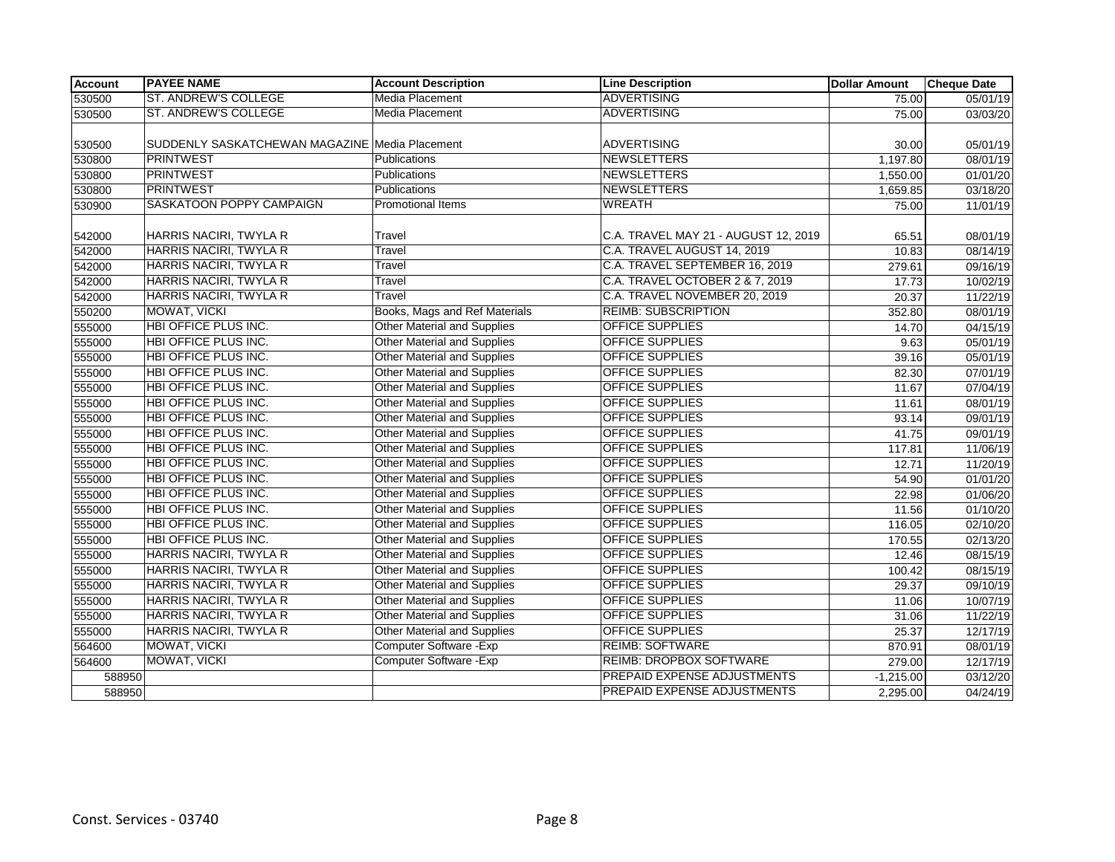| <b>Account</b> | <b>PAYEE NAME</b>                              | <b>Account Description</b>         | <b>Line Description</b>              | <b>Dollar Amount</b> | <b>Cheque Date</b> |
|----------------|------------------------------------------------|------------------------------------|--------------------------------------|----------------------|--------------------|
| 530500         | <b>ST. ANDREW'S COLLEGE</b>                    | Media Placement                    | <b>ADVERTISING</b>                   | 75.00                | 05/01/19           |
| 530500         | <b>ST. ANDREW'S COLLEGE</b>                    | <b>Media Placement</b>             | <b>ADVERTISING</b>                   | 75.00                | 03/03/20           |
|                |                                                |                                    |                                      |                      |                    |
| 530500         | SUDDENLY SASKATCHEWAN MAGAZINE Media Placement |                                    | ADVERTISING                          | 30.00                | 05/01/19           |
| 530800         | <b>PRINTWEST</b>                               | Publications                       | <b>NEWSLETTERS</b>                   | 1,197.80             | 08/01/19           |
| 530800         | <b>PRINTWEST</b>                               | Publications                       | NEWSLETTERS                          | 1,550.00             | 01/01/20           |
| 530800         | <b>PRINTWEST</b>                               | <b>Publications</b>                | NEWSLETTERS                          | 1,659.85             | 03/18/20           |
| 530900         | SASKATOON POPPY CAMPAIGN                       | <b>Promotional Items</b>           | <b>WREATH</b>                        | 75.00                | 11/01/19           |
|                |                                                |                                    |                                      |                      |                    |
| 542000         | HARRIS NACIRI, TWYLA R                         | Travel                             | C.A. TRAVEL MAY 21 - AUGUST 12, 2019 | 65.51                | 08/01/19           |
| 542000         | <b>HARRIS NACIRI, TWYLA R</b>                  | Travel                             | C.A. TRAVEL AUGUST 14, 2019          | 10.83                | 08/14/19           |
| 542000         | HARRIS NACIRI, TWYLA R                         | Travel                             | C.A. TRAVEL SEPTEMBER 16, 2019       | 279.61               | 09/16/19           |
| 542000         | HARRIS NACIRI, TWYLA R                         | Travel                             | C.A. TRAVEL OCTOBER 2 & 7, 2019      | 17.73                | 10/02/19           |
| 542000         | HARRIS NACIRI, TWYLA R                         | Travel                             | C.A. TRAVEL NOVEMBER 20, 2019        | 20.37                | 11/22/19           |
| 550200         | MOWAT, VICKI                                   | Books, Mags and Ref Materials      | <b>REIMB: SUBSCRIPTION</b>           | 352.80               | 08/01/19           |
| 555000         | <b>HBI OFFICE PLUS INC.</b>                    | <b>Other Material and Supplies</b> | <b>OFFICE SUPPLIES</b>               | 14.70                | 04/15/19           |
| 555000         | HBI OFFICE PLUS INC.                           | <b>Other Material and Supplies</b> | <b>OFFICE SUPPLIES</b>               | 9.63                 | 05/01/19           |
| 555000         | HBI OFFICE PLUS INC.                           | <b>Other Material and Supplies</b> | <b>OFFICE SUPPLIES</b>               | 39.16                | 05/01/19           |
| 555000         | <b>HBI OFFICE PLUS INC.</b>                    | Other Material and Supplies        | <b>OFFICE SUPPLIES</b>               | 82.30                | 07/01/19           |
| 555000         | HBI OFFICE PLUS INC.                           | <b>Other Material and Supplies</b> | <b>OFFICE SUPPLIES</b>               | 11.67                | 07/04/19           |
| 555000         | <b>HBI OFFICE PLUS INC.</b>                    | <b>Other Material and Supplies</b> | <b>OFFICE SUPPLIES</b>               | 11.61                | 08/01/19           |
| 555000         | HBI OFFICE PLUS INC.                           | <b>Other Material and Supplies</b> | <b>OFFICE SUPPLIES</b>               | 93.14                | 09/01/19           |
| 555000         | HBI OFFICE PLUS INC.                           | <b>Other Material and Supplies</b> | <b>OFFICE SUPPLIES</b>               | 41.75                | 09/01/19           |
| 555000         | HBI OFFICE PLUS INC.                           | <b>Other Material and Supplies</b> | <b>OFFICE SUPPLIES</b>               | 117.81               | 11/06/19           |
| 555000         | <b>HBI OFFICE PLUS INC.</b>                    | <b>Other Material and Supplies</b> | <b>OFFICE SUPPLIES</b>               | 12.71                | 11/20/19           |
| 555000         | <b>HBI OFFICE PLUS INC.</b>                    | <b>Other Material and Supplies</b> | <b>OFFICE SUPPLIES</b>               | 54.90                | 01/01/20           |
| 555000         | <b>HBI OFFICE PLUS INC.</b>                    | <b>Other Material and Supplies</b> | <b>OFFICE SUPPLIES</b>               | 22.98                | 01/06/20           |
| 555000         | HBI OFFICE PLUS INC.                           | Other Material and Supplies        | <b>OFFICE SUPPLIES</b>               | 11.56                | 01/10/20           |
| 555000         | HBI OFFICE PLUS INC.                           | Other Material and Supplies        | <b>OFFICE SUPPLIES</b>               | 116.05               | 02/10/20           |
| 555000         | HBI OFFICE PLUS INC.                           | Other Material and Supplies        | <b>OFFICE SUPPLIES</b>               | 170.55               | 02/13/20           |
| 555000         | HARRIS NACIRI, TWYLA R                         | <b>Other Material and Supplies</b> | <b>OFFICE SUPPLIES</b>               | 12.46                | 08/15/19           |
| 555000         | HARRIS NACIRI, TWYLA R                         | <b>Other Material and Supplies</b> | OFFICE SUPPLIES                      | 100.42               | 08/15/19           |
| 555000         | <b>HARRIS NACIRI, TWYLA R</b>                  | <b>Other Material and Supplies</b> | <b>OFFICE SUPPLIES</b>               | 29.37                | 09/10/19           |
| 555000         | HARRIS NACIRI, TWYLA R                         | Other Material and Supplies        | OFFICE SUPPLIES                      | 11.06                | 10/07/19           |
| 555000         | HARRIS NACIRI, TWYLA R                         | <b>Other Material and Supplies</b> | <b>OFFICE SUPPLIES</b>               | 31.06                | 11/22/19           |
| 555000         | HARRIS NACIRI, TWYLA R                         | <b>Other Material and Supplies</b> | <b>OFFICE SUPPLIES</b>               | 25.37                | 12/17/19           |
| 564600         | MOWAT, VICKI                                   | Computer Software - Exp            | <b>REIMB: SOFTWARE</b>               | 870.91               | 08/01/19           |
| 564600         | <b>MOWAT, VICKI</b>                            | Computer Software - Exp            | <b>REIMB: DROPBOX SOFTWARE</b>       | 279.00               | 12/17/19           |
| 588950         |                                                |                                    | PREPAID EXPENSE ADJUSTMENTS          | $-1,215.00$          | 03/12/20           |
| 588950         |                                                |                                    | PREPAID EXPENSE ADJUSTMENTS          | 2,295.00             | 04/24/19           |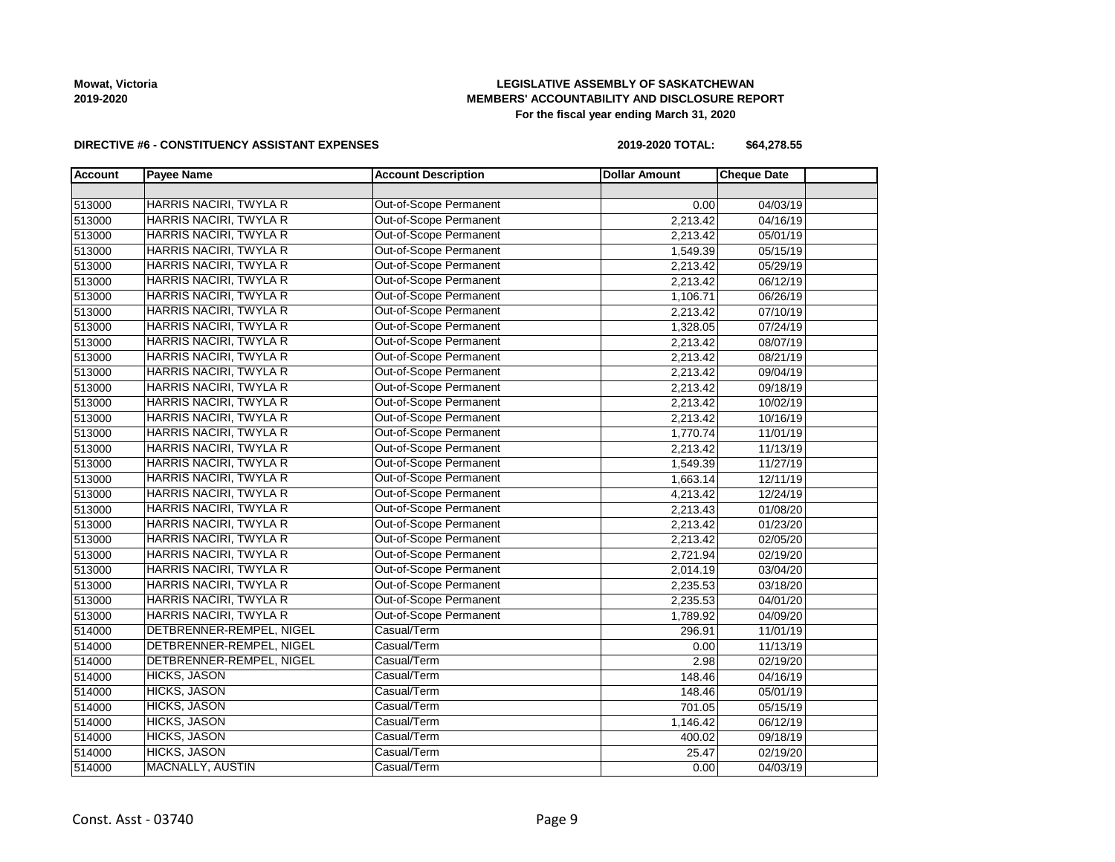# **LEGISLATIVE ASSEMBLY OF SASKATCHEWAN MEMBERS' ACCOUNTABILITY AND DISCLOSURE REPORT For the fiscal year ending March 31, 2020**

### **DIRECTIVE #6 - CONSTITUENCY ASSISTANT EXPENSES**

**2019-2020 TOTAL: \$64,278.55**

| <b>Account</b> | <b>Payee Name</b>             | <b>Account Description</b> | <b>Dollar Amount</b>  | <b>Cheque Date</b> |  |
|----------------|-------------------------------|----------------------------|-----------------------|--------------------|--|
|                |                               |                            |                       |                    |  |
| 513000         | HARRIS NACIRI, TWYLA R        | Out-of-Scope Permanent     | 0.00                  | 04/03/19           |  |
| 513000         | HARRIS NACIRI, TWYLA R        | Out-of-Scope Permanent     | 2,213.42              | 04/16/19           |  |
| 513000         | <b>HARRIS NACIRI, TWYLA R</b> | Out-of-Scope Permanent     | 2,213.42              | 05/01/19           |  |
| 513000         | <b>HARRIS NACIRI, TWYLA R</b> | Out-of-Scope Permanent     | 1,549.39              | 05/15/19           |  |
| 513000         | HARRIS NACIRI, TWYLA R        | Out-of-Scope Permanent     | 2,213.42              | 05/29/19           |  |
| 513000         | HARRIS NACIRI, TWYLA R        | Out-of-Scope Permanent     | 2,213.42              | 06/12/19           |  |
| 513000         | HARRIS NACIRI, TWYLA R        | Out-of-Scope Permanent     | 1,106.71              | 06/26/19           |  |
| 513000         | HARRIS NACIRI, TWYLA R        | Out-of-Scope Permanent     | 2,213.42              | 07/10/19           |  |
| 513000         | HARRIS NACIRI, TWYLA R        | Out-of-Scope Permanent     | 1,328.05              | 07/24/19           |  |
| 513000         | <b>HARRIS NACIRI, TWYLA R</b> | Out-of-Scope Permanent     | 2,213.42              | 08/07/19           |  |
| 513000         | <b>HARRIS NACIRI, TWYLA R</b> | Out-of-Scope Permanent     | 2,213.42              | 08/21/19           |  |
| 513000         | HARRIS NACIRI, TWYLA R        | Out-of-Scope Permanent     | 2,213.42              | 09/04/19           |  |
| 513000         | <b>HARRIS NACIRI, TWYLA R</b> | Out-of-Scope Permanent     | 2,213.42              | 09/18/19           |  |
| 513000         | HARRIS NACIRI, TWYLA R        | Out-of-Scope Permanent     | 2,213.42              | 10/02/19           |  |
| 513000         | HARRIS NACIRI, TWYLA R        | Out-of-Scope Permanent     | 2,213.42              | 10/16/19           |  |
| 513000         | HARRIS NACIRI, TWYLA R        | Out-of-Scope Permanent     | 1,770.74              | 11/01/19           |  |
| 513000         | <b>HARRIS NACIRI, TWYLA R</b> | Out-of-Scope Permanent     | 2,213.42              | 11/13/19           |  |
| 513000         | HARRIS NACIRI, TWYLA R        | Out-of-Scope Permanent     | 1,549.39              | 11/27/19           |  |
| 513000         | HARRIS NACIRI, TWYLA R        | Out-of-Scope Permanent     | 1,663.14              | 12/11/19           |  |
| 513000         | <b>HARRIS NACIRI, TWYLA R</b> | Out-of-Scope Permanent     | 4,213.42              | 12/24/19           |  |
| 513000         | HARRIS NACIRI, TWYLA R        | Out-of-Scope Permanent     | 2,213.43              | 01/08/20           |  |
| 513000         | HARRIS NACIRI, TWYLA R        | Out-of-Scope Permanent     | 2,213.42              | 01/23/20           |  |
| 513000         | HARRIS NACIRI, TWYLA R        | Out-of-Scope Permanent     | 2,213.42              | 02/05/20           |  |
| 513000         | <b>HARRIS NACIRI, TWYLA R</b> | Out-of-Scope Permanent     | 2,721.94              | 02/19/20           |  |
| 513000         | HARRIS NACIRI, TWYLA R        | Out-of-Scope Permanent     | 2,014.19              | 03/04/20           |  |
| 513000         | HARRIS NACIRI, TWYLA R        | Out-of-Scope Permanent     | 2,235.53              | 03/18/20           |  |
| 513000         | HARRIS NACIRI, TWYLA R        | Out-of-Scope Permanent     | 2,235.53              | 04/01/20           |  |
| 513000         | HARRIS NACIRI, TWYLA R        | Out-of-Scope Permanent     | 1,789.92              | 04/09/20           |  |
| 514000         | DETBRENNER-REMPEL, NIGEL      | Casual/Term                | 296.91                | 11/01/19           |  |
| 514000         | DETBRENNER-REMPEL, NIGEL      | Casual/Term                | 0.00                  | 11/13/19           |  |
| 514000         | DETBRENNER-REMPEL, NIGEL      | Casual/Term                | 2.98                  | 02/19/20           |  |
| 514000         | <b>HICKS, JASON</b>           | Casual/Term                | 148.46                | 04/16/19           |  |
| 514000         | <b>HICKS, JASON</b>           | Casual/Term                | 148.46                | 05/01/19           |  |
| 514000         | <b>HICKS, JASON</b>           | Casual/Term                | 701.05                | 05/15/19           |  |
| 514000         | <b>HICKS, JASON</b>           | Casual/Term                | $1,146.\overline{42}$ | 06/12/19           |  |
| 514000         | <b>HICKS, JASON</b>           | Casual/Term                | 400.02                | 09/18/19           |  |
| 514000         | <b>HICKS, JASON</b>           | Casual/Term                | 25.47                 | 02/19/20           |  |
| 514000         | <b>MACNALLY, AUSTIN</b>       | Casual/Term                | 0.00                  | 04/03/19           |  |